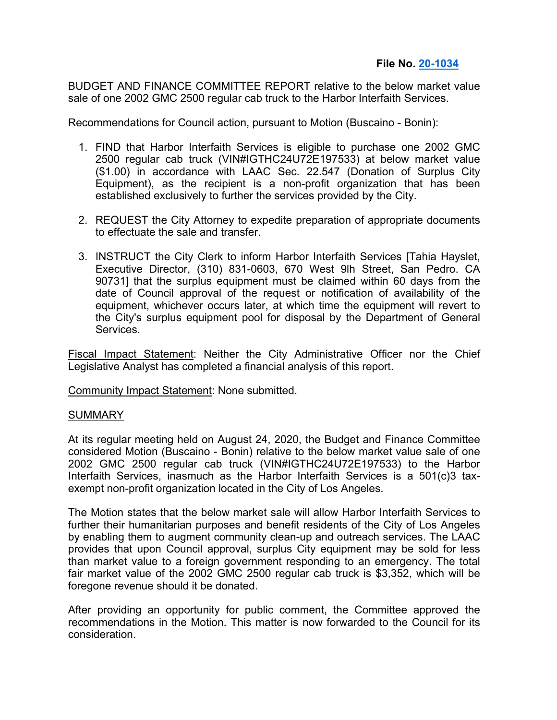BUDGET AND FINANCE COMMITTEE REPORT relative to the below market value sale of one 2002 GMC 2500 regular cab truck to the Harbor Interfaith Services.

Recommendations for Council action, pursuant to Motion (Buscaino - Bonin):

- 1. FIND that Harbor Interfaith Services is eligible to purchase one 2002 GMC 2500 regular cab truck (VIN#IGTHC24U72E197533) at below market value (\$1.00) in accordance with LAAC Sec. 22.547 (Donation of Surplus City Equipment), as the recipient is a non-profit organization that has been established exclusively to further the services provided by the City.
- 2. REQUEST the City Attorney to expedite preparation of appropriate documents to effectuate the sale and transfer.
- 3. INSTRUCT the City Clerk to inform Harbor Interfaith Services [Tahia Hayslet, Executive Director, (310) 831-0603, 670 West 9lh Street, San Pedro. CA 90731] that the surplus equipment must be claimed within 60 days from the date of Council approval of the request or notification of availability of the equipment, whichever occurs later, at which time the equipment will revert to the City's surplus equipment pool for disposal by the Department of General Services.

Fiscal Impact Statement: Neither the City Administrative Officer nor the Chief Legislative Analyst has completed a financial analysis of this report.

Community Impact Statement: None submitted.

## SUMMARY

At its regular meeting held on August 24, 2020, the Budget and Finance Committee considered Motion (Buscaino - Bonin) relative to the below market value sale of one 2002 GMC 2500 regular cab truck (VIN#IGTHC24U72E197533) to the Harbor Interfaith Services, inasmuch as the Harbor Interfaith Services is a 501(c)3 taxexempt non-profit organization located in the City of Los Angeles.

The Motion states that the below market sale will allow Harbor Interfaith Services to further their humanitarian purposes and benefit residents of the City of Los Angeles by enabling them to augment community clean-up and outreach services. The LAAC provides that upon Council approval, surplus City equipment may be sold for less than market value to a foreign government responding to an emergency. The total fair market value of the 2002 GMC 2500 regular cab truck is \$3,352, which will be foregone revenue should it be donated.

After providing an opportunity for public comment, the Committee approved the recommendations in the Motion. This matter is now forwarded to the Council for its consideration.